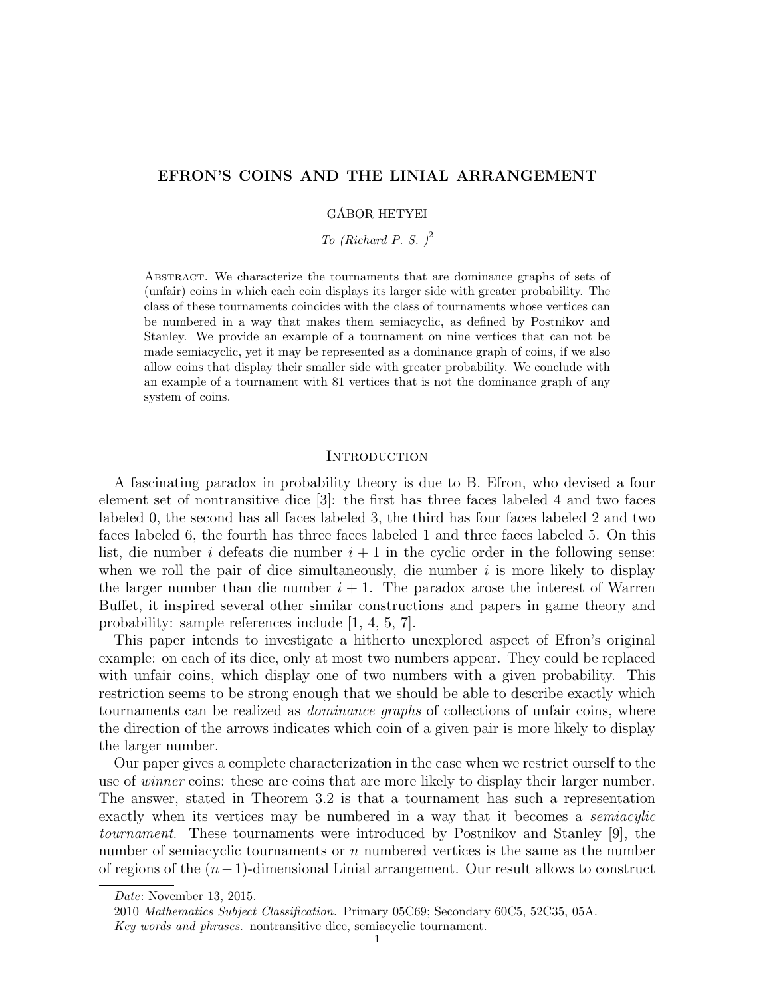# EFRON'S COINS AND THE LINIAL ARRANGEMENT

# GÁBOR HETYEI

To (Richard P. S.)<sup>2</sup>

Abstract. We characterize the tournaments that are dominance graphs of sets of (unfair) coins in which each coin displays its larger side with greater probability. The class of these tournaments coincides with the class of tournaments whose vertices can be numbered in a way that makes them semiacyclic, as defined by Postnikov and Stanley. We provide an example of a tournament on nine vertices that can not be made semiacyclic, yet it may be represented as a dominance graph of coins, if we also allow coins that display their smaller side with greater probability. We conclude with an example of a tournament with 81 vertices that is not the dominance graph of any system of coins.

# **INTRODUCTION**

A fascinating paradox in probability theory is due to B. Efron, who devised a four element set of nontransitive dice [3]: the first has three faces labeled 4 and two faces labeled 0, the second has all faces labeled 3, the third has four faces labeled 2 and two faces labeled 6, the fourth has three faces labeled 1 and three faces labeled 5. On this list, die number i defeats die number  $i + 1$  in the cyclic order in the following sense: when we roll the pair of dice simultaneously, die number  $i$  is more likely to display the larger number than die number  $i + 1$ . The paradox arose the interest of Warren Buffet, it inspired several other similar constructions and papers in game theory and probability: sample references include [1, 4, 5, 7].

This paper intends to investigate a hitherto unexplored aspect of Efron's original example: on each of its dice, only at most two numbers appear. They could be replaced with unfair coins, which display one of two numbers with a given probability. This restriction seems to be strong enough that we should be able to describe exactly which tournaments can be realized as dominance graphs of collections of unfair coins, where the direction of the arrows indicates which coin of a given pair is more likely to display the larger number.

Our paper gives a complete characterization in the case when we restrict ourself to the use of *winner* coins: these are coins that are more likely to display their larger number. The answer, stated in Theorem 3.2 is that a tournament has such a representation exactly when its vertices may be numbered in a way that it becomes a semiacylic tournament. These tournaments were introduced by Postnikov and Stanley [9], the number of semiacyclic tournaments or n numbered vertices is the same as the number of regions of the  $(n-1)$ -dimensional Linial arrangement. Our result allows to construct

Date: November 13, 2015.

<sup>2010</sup> Mathematics Subject Classification. Primary 05C69; Secondary 60C5, 52C35, 05A.

Key words and phrases. nontransitive dice, semiacyclic tournament.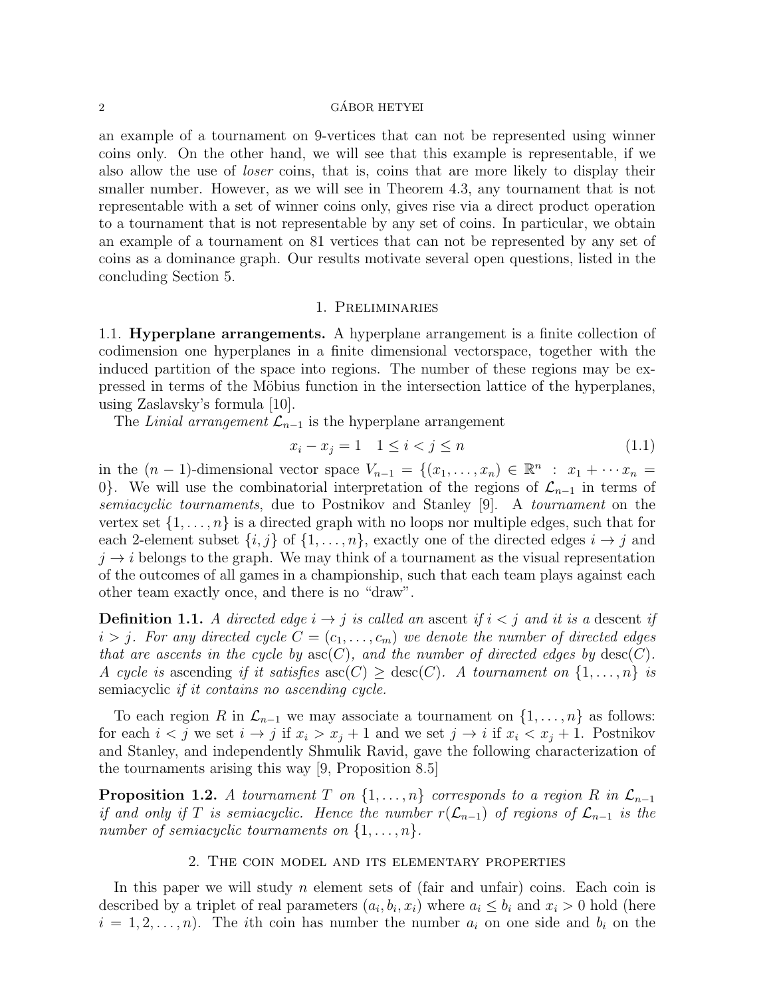## $\alpha$  GÁBOR HETYEI

an example of a tournament on 9-vertices that can not be represented using winner coins only. On the other hand, we will see that this example is representable, if we also allow the use of *loser* coins, that is, coins that are more likely to display their smaller number. However, as we will see in Theorem 4.3, any tournament that is not representable with a set of winner coins only, gives rise via a direct product operation to a tournament that is not representable by any set of coins. In particular, we obtain an example of a tournament on 81 vertices that can not be represented by any set of coins as a dominance graph. Our results motivate several open questions, listed in the concluding Section 5.

# 1. Preliminaries

1.1. Hyperplane arrangements. A hyperplane arrangement is a finite collection of codimension one hyperplanes in a finite dimensional vectorspace, together with the induced partition of the space into regions. The number of these regions may be expressed in terms of the Möbius function in the intersection lattice of the hyperplanes, using Zaslavsky's formula [10].

The Linial arrangement  $\mathcal{L}_{n-1}$  is the hyperplane arrangement

$$
x_i - x_j = 1 \quad 1 \le i < j \le n \tag{1.1}
$$

in the  $(n-1)$ -dimensional vector space  $V_{n-1} = \{(x_1, \ldots, x_n) \in \mathbb{R}^n : x_1 + \cdots x_n =$ 0}. We will use the combinatorial interpretation of the regions of  $\mathcal{L}_{n-1}$  in terms of semiacyclic tournaments, due to Postnikov and Stanley [9]. A tournament on the vertex set  $\{1, \ldots, n\}$  is a directed graph with no loops nor multiple edges, such that for each 2-element subset  $\{i, j\}$  of  $\{1, \ldots, n\}$ , exactly one of the directed edges  $i \rightarrow j$  and  $j \rightarrow i$  belongs to the graph. We may think of a tournament as the visual representation of the outcomes of all games in a championship, such that each team plays against each other team exactly once, and there is no "draw".

**Definition 1.1.** A directed edge  $i \rightarrow j$  is called an ascent if  $i < j$  and it is a descent if  $i > j$ . For any directed cycle  $C = (c_1, \ldots, c_m)$  we denote the number of directed edges that are ascents in the cycle by  $asc(C)$ , and the number of directed edges by  $desc(C)$ . A cycle is ascending if it satisfies  $\operatorname{asc}(C) \geq \operatorname{desc}(C)$ . A tournament on  $\{1, \ldots, n\}$  is semiacyclic if it contains no ascending cycle.

To each region R in  $\mathcal{L}_{n-1}$  we may associate a tournament on  $\{1,\ldots,n\}$  as follows: for each  $i < j$  we set  $i \to j$  if  $x_i > x_j + 1$  and we set  $j \to i$  if  $x_i < x_j + 1$ . Postnikov and Stanley, and independently Shmulik Ravid, gave the following characterization of the tournaments arising this way [9, Proposition 8.5]

**Proposition 1.2.** A tournament T on  $\{1, \ldots, n\}$  corresponds to a region R in  $\mathcal{L}_{n-1}$ if and only if T is semiacyclic. Hence the number  $r(\mathcal{L}_{n-1})$  of regions of  $\mathcal{L}_{n-1}$  is the number of semiacyclic tournaments on  $\{1, \ldots, n\}$ .

# 2. The coin model and its elementary properties

In this paper we will study  $n$  element sets of (fair and unfair) coins. Each coin is described by a triplet of real parameters  $(a_i, b_i, x_i)$  where  $a_i \leq b_i$  and  $x_i > 0$  hold (here  $i = 1, 2, \ldots, n$ . The ith coin has number the number  $a_i$  on one side and  $b_i$  on the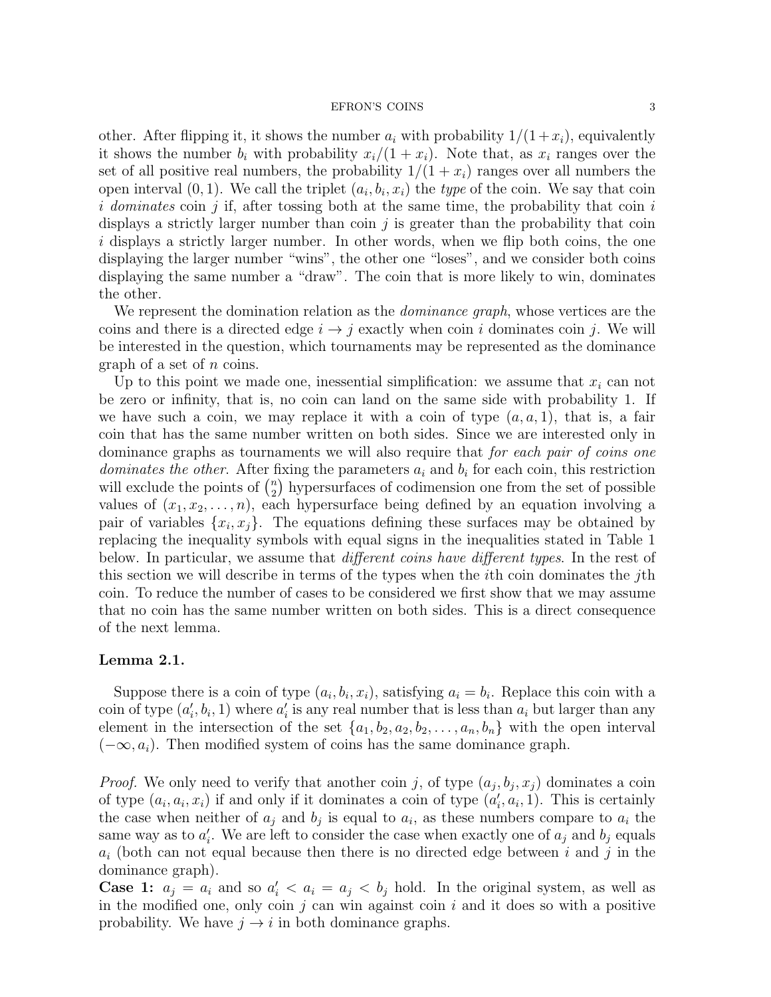other. After flipping it, it shows the number  $a_i$  with probability  $1/(1+x_i)$ , equivalently it shows the number  $b_i$  with probability  $x_i/(1 + x_i)$ . Note that, as  $x_i$  ranges over the set of all positive real numbers, the probability  $1/(1 + x_i)$  ranges over all numbers the open interval  $(0, 1)$ . We call the triplet  $(a_i, b_i, x_i)$  the type of the coin. We say that coin i dominates coin j if, after tossing both at the same time, the probability that coin  $i$ displays a strictly larger number than coin  $j$  is greater than the probability that coin i displays a strictly larger number. In other words, when we flip both coins, the one displaying the larger number "wins", the other one "loses", and we consider both coins displaying the same number a "draw". The coin that is more likely to win, dominates the other.

We represent the domination relation as the *dominance graph*, whose vertices are the coins and there is a directed edge  $i \rightarrow j$  exactly when coin i dominates coin j. We will be interested in the question, which tournaments may be represented as the dominance graph of a set of n coins.

Up to this point we made one, inessential simplification: we assume that  $x_i$  can not be zero or infinity, that is, no coin can land on the same side with probability 1. If we have such a coin, we may replace it with a coin of type  $(a, a, 1)$ , that is, a fair coin that has the same number written on both sides. Since we are interested only in dominance graphs as tournaments we will also require that for each pair of coins one dominates the other. After fixing the parameters  $a_i$  and  $b_i$  for each coin, this restriction will exclude the points of  $\binom{n}{2}$  $n_2$ ) hypersurfaces of codimension one from the set of possible values of  $(x_1, x_2, \ldots, n)$ , each hypersurface being defined by an equation involving a pair of variables  $\{x_i, x_j\}$ . The equations defining these surfaces may be obtained by replacing the inequality symbols with equal signs in the inequalities stated in Table 1 below. In particular, we assume that *different coins have different types*. In the rest of this section we will describe in terms of the types when the ith coin dominates the jth coin. To reduce the number of cases to be considered we first show that we may assume that no coin has the same number written on both sides. This is a direct consequence of the next lemma.

# Lemma 2.1.

Suppose there is a coin of type  $(a_i, b_i, x_i)$ , satisfying  $a_i = b_i$ . Replace this coin with a coin of type  $(a'_i, b_i, 1)$  where  $a'_i$  is any real number that is less than  $a_i$  but larger than any element in the intersection of the set  $\{a_1, b_2, a_2, b_2, \ldots, a_n, b_n\}$  with the open interval  $(-\infty, a_i)$ . Then modified system of coins has the same dominance graph.

*Proof.* We only need to verify that another coin j, of type  $(a_j, b_j, x_j)$  dominates a coin of type  $(a_i, a_i, x_i)$  if and only if it dominates a coin of type  $(a'_i, a_i, 1)$ . This is certainly the case when neither of  $a_j$  and  $b_j$  is equal to  $a_i$ , as these numbers compare to  $a_i$  the same way as to  $a'_i$ . We are left to consider the case when exactly one of  $a_j$  and  $b_j$  equals  $a_i$  (both can not equal because then there is no directed edge between i and j in the dominance graph).

**Case 1:**  $a_j = a_i$  and so  $a'_i < a_i = a_j < b_j$  hold. In the original system, as well as in the modified one, only coin  $j$  can win against coin  $i$  and it does so with a positive probability. We have  $j \to i$  in both dominance graphs.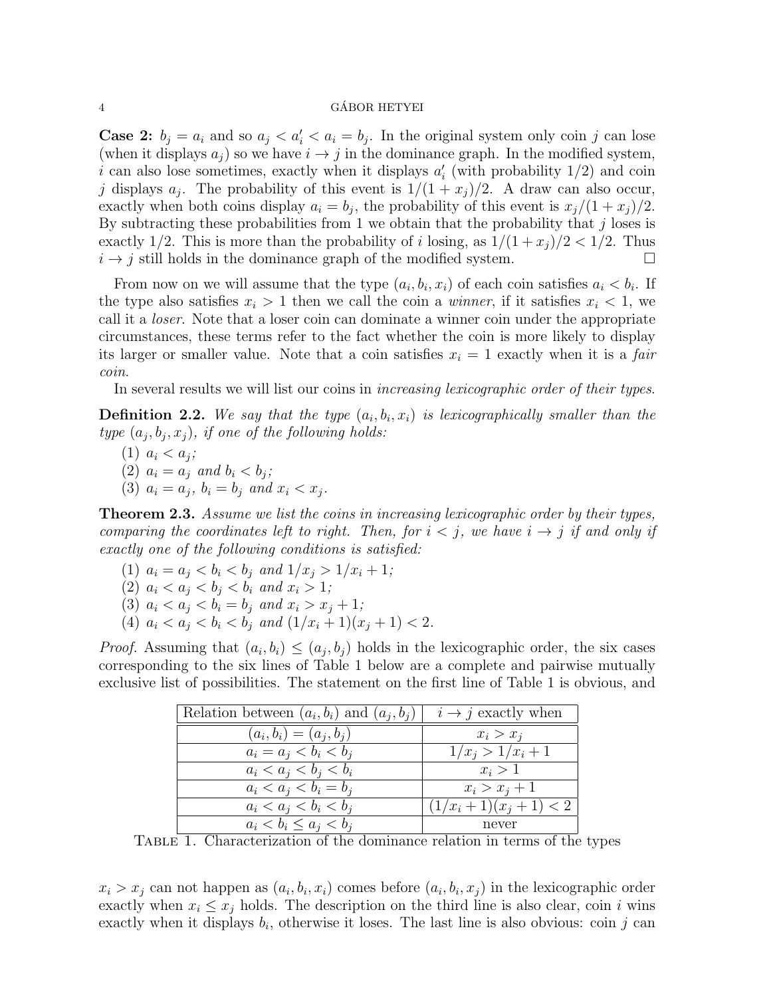### 4 GÁBOR HETYEI

**Case 2:**  $b_j = a_i$  and so  $a_j < a'_i < a_i = b_j$ . In the original system only coin j can lose (when it displays  $a_i$ ) so we have  $i \rightarrow j$  in the dominance graph. In the modified system, i can also lose sometimes, exactly when it displays  $a'_{i}$  (with probability  $1/2$ ) and coin j displays  $a_j$ . The probability of this event is  $1/(1 + x_j)/2$ . A draw can also occur, exactly when both coins display  $a_i = b_j$ , the probability of this event is  $x_j/(1 + x_j)/2$ . By subtracting these probabilities from 1 we obtain that the probability that  $j$  loses is exactly 1/2. This is more than the probability of i losing, as  $1/(1 + x_j)/2 < 1/2$ . Thus  $i \rightarrow j$  still holds in the dominance graph of the modified system.

From now on we will assume that the type  $(a_i, b_i, x_i)$  of each coin satisfies  $a_i < b_i$ . If the type also satisfies  $x_i > 1$  then we call the coin a *winner*, if it satisfies  $x_i < 1$ , we call it a loser. Note that a loser coin can dominate a winner coin under the appropriate circumstances, these terms refer to the fact whether the coin is more likely to display its larger or smaller value. Note that a coin satisfies  $x<sub>i</sub> = 1$  exactly when it is a *fair* coin.

In several results we will list our coins in *increasing lexicographic order of their types*.

**Definition 2.2.** We say that the type  $(a_i, b_i, x_i)$  is lexicographically smaller than the type  $(a_j, b_j, x_j)$ , if one of the following holds:

(1)  $a_i < a_j$ ; (2)  $a_i = a_j$  and  $b_i < b_j$ ; (3)  $a_i = a_j, b_i = b_j \text{ and } x_i < x_j.$ 

**Theorem 2.3.** Assume we list the coins in increasing lexicographic order by their types, comparing the coordinates left to right. Then, for  $i < j$ , we have  $i \rightarrow j$  if and only if exactly one of the following conditions is satisfied:

- (1)  $a_i = a_j < b_i < b_j$  and  $1/x_i > 1/x_i + 1$ ;
- (2)  $a_i < a_j < b_i < b_i$  and  $x_i > 1$ ;
- (3)  $a_i < a_j < b_i = b_j$  and  $x_i > x_j + 1$ ;
- (4)  $a_i < a_j < b_i < b_j$  and  $(1/x_i + 1)(x_j + 1) < 2$ .

*Proof.* Assuming that  $(a_i, b_i) \leq (a_j, b_j)$  holds in the lexicographic order, the six cases corresponding to the six lines of Table 1 below are a complete and pairwise mutually exclusive list of possibilities. The statement on the first line of Table 1 is obvious, and

| Relation between $(a_i, b_i)$ and $(a_i, b_j)$ | $i \rightarrow j$ exactly when |
|------------------------------------------------|--------------------------------|
| $(a_i, b_i) = (a_i, b_i)$                      | $x_i > x_j$                    |
| $a_i = a_j < b_i < b_j$                        | $1/x_i > 1/x_i + 1$            |
| $a_i < a_j < b_i < b_i$                        | $x_i > 1$                      |
| $a_i < a_j < b_i = b_j$                        | $x_i > x_j + 1$                |
| $a_i < a_j < b_i < b_j$                        | $(1/x_i+1)(x_i+1) < 2$         |
| $a_i < b_i \leq a_j < b_j$                     | never                          |

TABLE 1. Characterization of the dominance relation in terms of the types

 $x_i > x_j$  can not happen as  $(a_i, b_i, x_i)$  comes before  $(a_i, b_i, x_j)$  in the lexicographic order exactly when  $x_i \leq x_j$  holds. The description on the third line is also clear, coin i wins exactly when it displays  $b_i$ , otherwise it loses. The last line is also obvious: coin j can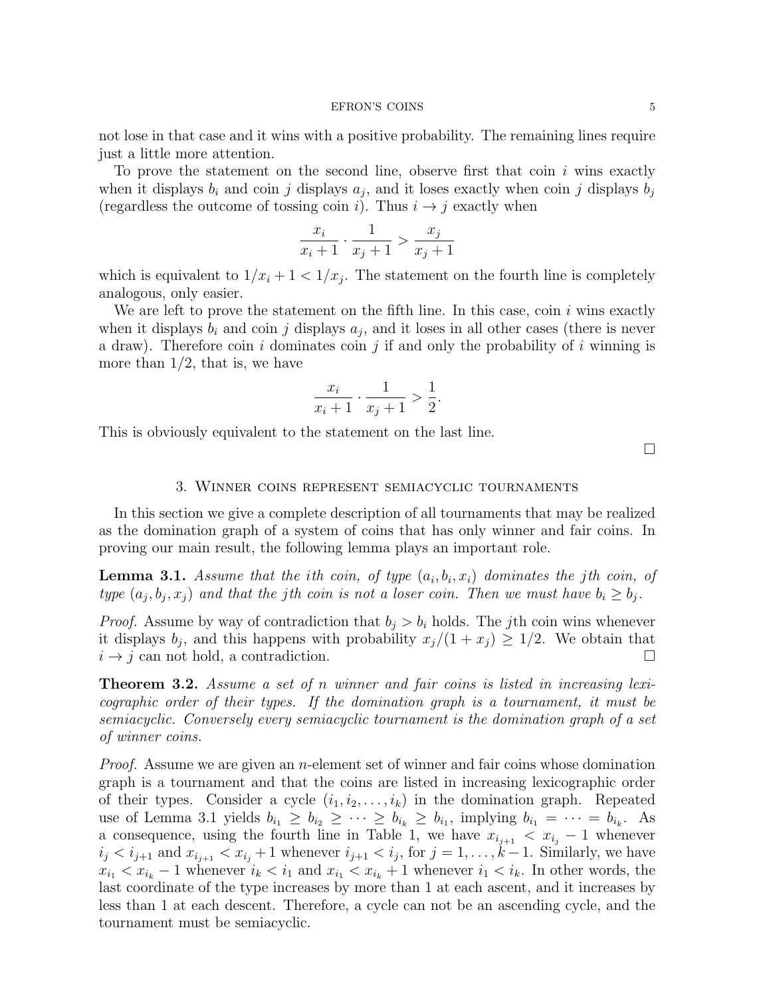not lose in that case and it wins with a positive probability. The remaining lines require just a little more attention.

To prove the statement on the second line, observe first that coin  $i$  wins exactly when it displays  $b_i$  and coin j displays  $a_j$ , and it loses exactly when coin j displays  $b_j$ (regardless the outcome of tossing coin i). Thus  $i \rightarrow j$  exactly when

$$
\frac{x_i}{x_i+1} \cdot \frac{1}{x_j+1} > \frac{x_j}{x_j+1}
$$

which is equivalent to  $1/x_i + 1 < 1/x_j$ . The statement on the fourth line is completely analogous, only easier.

We are left to prove the statement on the fifth line. In this case, coin  $i$  wins exactly when it displays  $b_i$  and coin j displays  $a_j$ , and it loses in all other cases (there is never a draw). Therefore coin i dominates coin j if and only the probability of i winning is more than  $1/2$ , that is, we have

$$
\frac{x_i}{x_i+1} \cdot \frac{1}{x_j+1} > \frac{1}{2}.
$$

This is obviously equivalent to the statement on the last line.

 $\Box$ 

## 3. Winner coins represent semiacyclic tournaments

In this section we give a complete description of all tournaments that may be realized as the domination graph of a system of coins that has only winner and fair coins. In proving our main result, the following lemma plays an important role.

**Lemma 3.1.** Assume that the ith coin, of type  $(a_i, b_i, x_i)$  dominates the jth coin, of type  $(a_j, b_j, x_j)$  and that the jth coin is not a loser coin. Then we must have  $b_i \geq b_j$ .

*Proof.* Assume by way of contradiction that  $b_j > b_i$  holds. The jth coin wins whenever it displays  $b_j$ , and this happens with probability  $x_j/(1 + x_j) \geq 1/2$ . We obtain that  $i \rightarrow j$  can not hold, a contradiction.

**Theorem 3.2.** Assume a set of n winner and fair coins is listed in increasing lexicographic order of their types. If the domination graph is a tournament, it must be semiacyclic. Conversely every semiacyclic tournament is the domination graph of a set of winner coins.

*Proof.* Assume we are given an *n*-element set of winner and fair coins whose domination graph is a tournament and that the coins are listed in increasing lexicographic order of their types. Consider a cycle  $(i_1, i_2, \ldots, i_k)$  in the domination graph. Repeated use of Lemma 3.1 yields  $b_{i_1} \geq b_{i_2} \geq \cdots \geq b_{i_k} \geq b_{i_1}$ , implying  $b_{i_1} = \cdots = b_{i_k}$ . As a consequence, using the fourth line in Table 1, we have  $x_{i_{j+1}} < x_{i_j} - 1$  whenever  $i_j < i_{j+1}$  and  $x_{i_{j+1}} < x_{i_j} + 1$  whenever  $i_{j+1} < i_j$ , for  $j = 1, \ldots, k-1$ . Similarly, we have  $x_{i_1} < x_{i_k} - 1$  whenever  $i_k < i_1$  and  $x_{i_1} < x_{i_k} + 1$  whenever  $i_1 < i_k$ . In other words, the last coordinate of the type increases by more than 1 at each ascent, and it increases by less than 1 at each descent. Therefore, a cycle can not be an ascending cycle, and the tournament must be semiacyclic.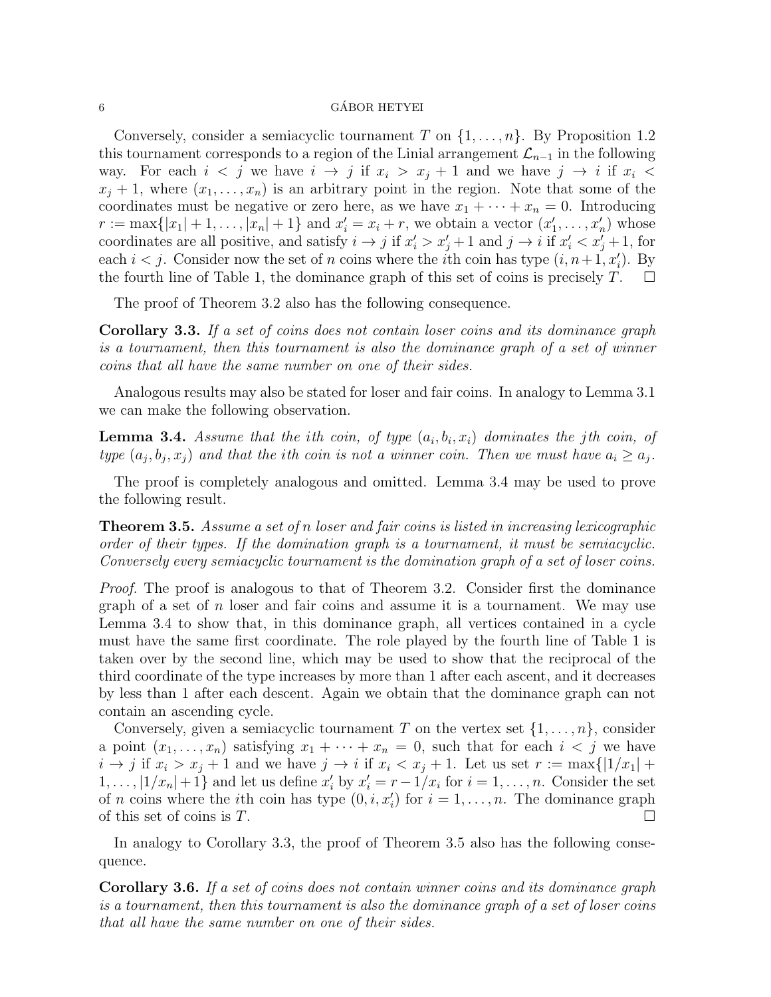## $6 \rightarrow$  GÁBOR HETYEI

Conversely, consider a semiacyclic tournament T on  $\{1,\ldots,n\}$ . By Proposition 1.2 this tournament corresponds to a region of the Linial arrangement  $\mathcal{L}_{n-1}$  in the following way. For each  $i < j$  we have  $i \to j$  if  $x_i > x_j + 1$  and we have  $j \to i$  if  $x_i <$  $x_i + 1$ , where  $(x_1, \ldots, x_n)$  is an arbitrary point in the region. Note that some of the coordinates must be negative or zero here, as we have  $x_1 + \cdots + x_n = 0$ . Introducing  $r := \max\{|x_1| + 1, \ldots, |x_n| + 1\}$  and  $x'_i = x_i + r$ , we obtain a vector  $(x'_1, \ldots, x'_n)$  whose coordinates are all positive, and satisfy  $i \to j$  if  $x'_i > x'_j + 1$  and  $j \to i$  if  $x'_i < x'_j + 1$ , for each  $i < j$ . Consider now the set of n coins where the *i*<sup>th</sup> coin has type  $(i, n+1, x'_i)$ . By the fourth line of Table 1, the dominance graph of this set of coins is precisely  $T$ .  $\Box$ 

The proof of Theorem 3.2 also has the following consequence.

Corollary 3.3. If a set of coins does not contain loser coins and its dominance graph is a tournament, then this tournament is also the dominance graph of a set of winner coins that all have the same number on one of their sides.

Analogous results may also be stated for loser and fair coins. In analogy to Lemma 3.1 we can make the following observation.

**Lemma 3.4.** Assume that the ith coin, of type  $(a_i, b_i, x_i)$  dominates the jth coin, of type  $(a_j, b_j, x_j)$  and that the ith coin is not a winner coin. Then we must have  $a_i \ge a_j$ .

The proof is completely analogous and omitted. Lemma 3.4 may be used to prove the following result.

**Theorem 3.5.** Assume a set of n loser and fair coins is listed in increasing lexicographic order of their types. If the domination graph is a tournament, it must be semiacyclic. Conversely every semiacyclic tournament is the domination graph of a set of loser coins.

Proof. The proof is analogous to that of Theorem 3.2. Consider first the dominance graph of a set of  $n$  loser and fair coins and assume it is a tournament. We may use Lemma 3.4 to show that, in this dominance graph, all vertices contained in a cycle must have the same first coordinate. The role played by the fourth line of Table 1 is taken over by the second line, which may be used to show that the reciprocal of the third coordinate of the type increases by more than 1 after each ascent, and it decreases by less than 1 after each descent. Again we obtain that the dominance graph can not contain an ascending cycle.

Conversely, given a semiacyclic tournament T on the vertex set  $\{1,\ldots,n\}$ , consider a point  $(x_1, \ldots, x_n)$  satisfying  $x_1 + \cdots + x_n = 0$ , such that for each  $i < j$  we have  $i \to j$  if  $x_i > x_j + 1$  and we have  $j \to i$  if  $x_i < x_j + 1$ . Let us set  $r := \max\{|1/x_1| +$  $1, \ldots, |1/x_n|+1$  and let us define  $x'_i$  by  $x'_i = r-1/x_i$  for  $i = 1, \ldots, n$ . Consider the set of *n* coins where the *i*th coin has type  $(0, i, x'_i)$  for  $i = 1, ..., n$ . The dominance graph of this set of coins is  $T$ .

In analogy to Corollary 3.3, the proof of Theorem 3.5 also has the following consequence.

Corollary 3.6. If a set of coins does not contain winner coins and its dominance graph is a tournament, then this tournament is also the dominance graph of a set of loser coins that all have the same number on one of their sides.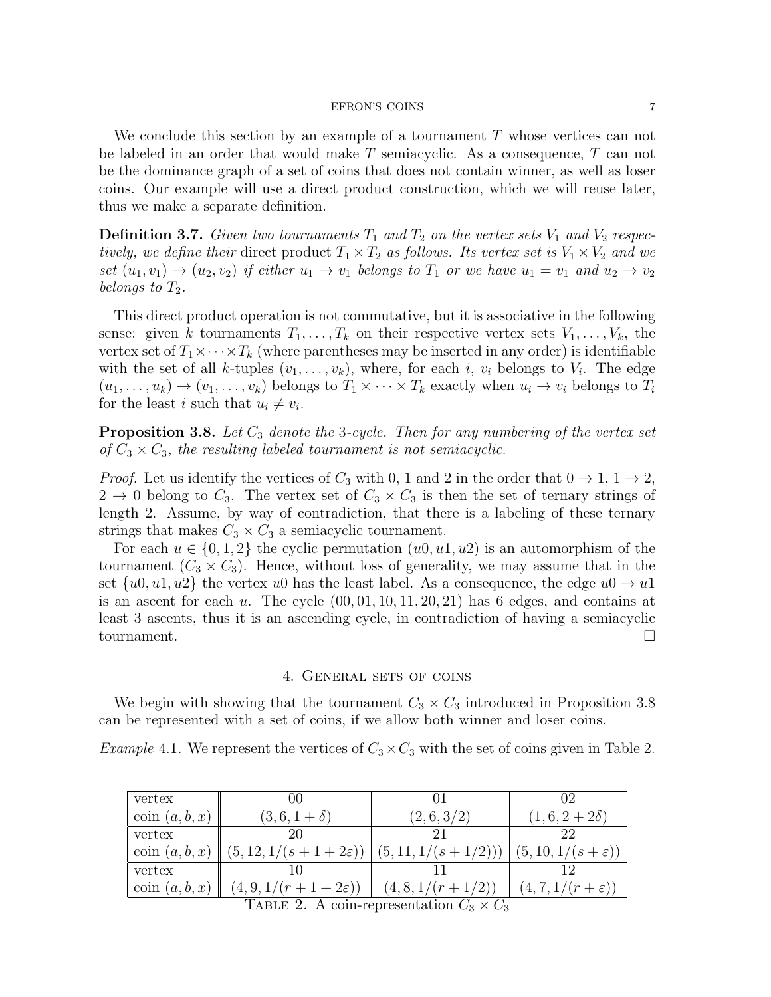We conclude this section by an example of a tournament T whose vertices can not be labeled in an order that would make T semiacyclic. As a consequence, T can not be the dominance graph of a set of coins that does not contain winner, as well as loser coins. Our example will use a direct product construction, which we will reuse later, thus we make a separate definition.

**Definition 3.7.** Given two tournaments  $T_1$  and  $T_2$  on the vertex sets  $V_1$  and  $V_2$  respectively, we define their direct product  $T_1 \times T_2$  as follows. Its vertex set is  $V_1 \times V_2$  and we set  $(u_1, v_1) \rightarrow (u_2, v_2)$  if either  $u_1 \rightarrow v_1$  belongs to  $T_1$  or we have  $u_1 = v_1$  and  $u_2 \rightarrow v_2$ belongs to  $T_2$ .

This direct product operation is not commutative, but it is associative in the following sense: given k tournaments  $T_1, \ldots, T_k$  on their respective vertex sets  $V_1, \ldots, V_k$ , the vertex set of  $T_1 \times \cdots \times T_k$  (where parentheses may be inserted in any order) is identifiable with the set of all k-tuples  $(v_1, \ldots, v_k)$ , where, for each i,  $v_i$  belongs to  $V_i$ . The edge  $(u_1, \ldots, u_k) \to (v_1, \ldots, v_k)$  belongs to  $T_1 \times \cdots \times T_k$  exactly when  $u_i \to v_i$  belongs to  $T_i$ for the least *i* such that  $u_i \neq v_i$ .

**Proposition 3.8.** Let  $C_3$  denote the 3-cycle. Then for any numbering of the vertex set of  $C_3 \times C_3$ , the resulting labeled tournament is not semiacyclic.

*Proof.* Let us identify the vertices of  $C_3$  with 0, 1 and 2 in the order that  $0 \to 1$ ,  $1 \to 2$ ,  $2 \rightarrow 0$  belong to  $C_3$ . The vertex set of  $C_3 \times C_3$  is then the set of ternary strings of length 2. Assume, by way of contradiction, that there is a labeling of these ternary strings that makes  $C_3 \times C_3$  a semiacyclic tournament.

For each  $u \in \{0, 1, 2\}$  the cyclic permutation  $(u0, u1, u2)$  is an automorphism of the tournament  $(C_3 \times C_3)$ . Hence, without loss of generality, we may assume that in the set  $\{u0, u1, u2\}$  the vertex u0 has the least label. As a consequence, the edge  $u0 \rightarrow u1$ is an ascent for each u. The cycle  $(00, 01, 10, 11, 20, 21)$  has 6 edges, and contains at least 3 ascents, thus it is an ascending cycle, in contradiction of having a semiacyclic tournament.

## 4. General sets of coins

We begin with showing that the tournament  $C_3 \times C_3$  introduced in Proposition 3.8 can be represented with a set of coins, if we allow both winner and loser coins.

*Example* 4.1. We represent the vertices of  $C_3 \times C_3$  with the set of coins given in Table 2.

| vertex                                          | $($ ) $($                                             |                   | 02                         |
|-------------------------------------------------|-------------------------------------------------------|-------------------|----------------------------|
| $\operatorname{coin}(a, b, x)$                  | $(3, 6, 1 + \delta)$                                  | (2,6,3/2)         | $(1,6,2+2\delta)$          |
| vertex                                          |                                                       |                   | 22                         |
| $\operatorname{coin}(a, b, x)$                  | $(5, 12, 1/(s+1+2\varepsilon))$ $(5, 11, 1/(s+1/2)))$ |                   | $(5,10,1/(s+\varepsilon))$ |
| vertex                                          |                                                       |                   |                            |
| $\operatorname{coin}(a, b, x)$                  | $(4, 9, 1/(r+1+2\varepsilon))$                        | $(4,8,1/(r+1/2))$ | $(4,7,1/(r+\varepsilon))$  |
| TABLE 2. A coin-representation $C_3 \times C_3$ |                                                       |                   |                            |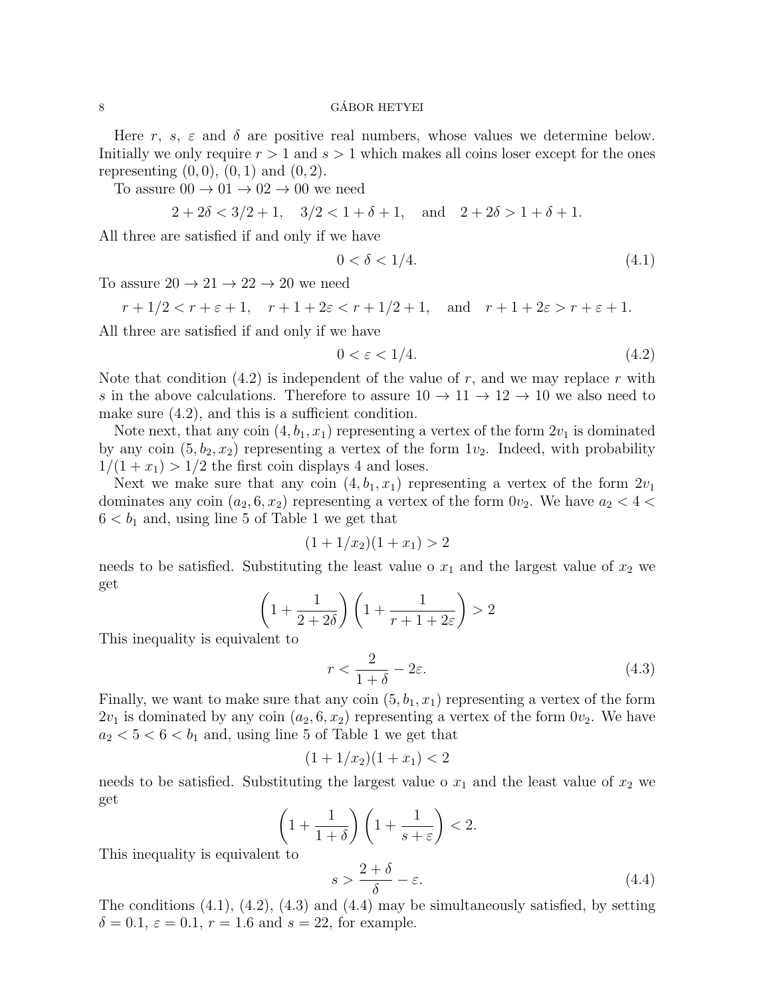### $\alpha$  GÁBOR HETYEI

Here r, s,  $\varepsilon$  and  $\delta$  are positive real numbers, whose values we determine below. Initially we only require  $r > 1$  and  $s > 1$  which makes all coins loser except for the ones representing  $(0, 0)$ ,  $(0, 1)$  and  $(0, 2)$ .

To assure  $00 \rightarrow 01 \rightarrow 02 \rightarrow 00$  we need

$$
2 + 2\delta < 3/2 + 1
$$
,  $3/2 < 1 + \delta + 1$ , and  $2 + 2\delta > 1 + \delta + 1$ .

All three are satisfied if and only if we have

$$
0 < \delta < 1/4. \tag{4.1}
$$

To assure  $20 \rightarrow 21 \rightarrow 22 \rightarrow 20$  we need

$$
r+1/2 < r+\varepsilon+1, \quad r+1+2\varepsilon < r+1/2+1, \quad \text{and} \quad r+1+2\varepsilon > r+\varepsilon+1.
$$

All three are satisfied if and only if we have

$$
0 < \varepsilon < 1/4. \tag{4.2}
$$

Note that condition  $(4.2)$  is independent of the value of r, and we may replace r with s in the above calculations. Therefore to assure  $10 \rightarrow 11 \rightarrow 12 \rightarrow 10$  we also need to make sure (4.2), and this is a sufficient condition.

Note next, that any coin  $(4, b_1, x_1)$  representing a vertex of the form  $2v_1$  is dominated by any coin  $(5, b_2, x_2)$  representing a vertex of the form  $1v_2$ . Indeed, with probability  $1/(1+x_1) > 1/2$  the first coin displays 4 and loses.

Next we make sure that any coin  $(4, b_1, x_1)$  representing a vertex of the form  $2v_1$ dominates any coin  $(a_2, 6, x_2)$  representing a vertex of the form  $0v_2$ . We have  $a_2 < 4 <$  $6 < b_1$  and, using line 5 of Table 1 we get that

$$
(1 + 1/x_2)(1 + x_1) > 2
$$

needs to be satisfied. Substituting the least value o  $x_1$  and the largest value of  $x_2$  we get

$$
\left(1 + \frac{1}{2 + 2\delta}\right)\left(1 + \frac{1}{r + 1 + 2\varepsilon}\right) > 2
$$

This inequality is equivalent to

$$
r < \frac{2}{1+\delta} - 2\varepsilon. \tag{4.3}
$$

Finally, we want to make sure that any coin  $(5, b_1, x_1)$  representing a vertex of the form  $2v_1$  is dominated by any coin  $(a_2, 6, x_2)$  representing a vertex of the form  $0v_2$ . We have  $a_2 < 5 < 6 < b_1$  and, using line 5 of Table 1 we get that

$$
(1+1/x_2)(1+x_1) < 2
$$

needs to be satisfied. Substituting the largest value o  $x_1$  and the least value of  $x_2$  we get

$$
\left(1+\frac{1}{1+\delta}\right)\left(1+\frac{1}{s+\varepsilon}\right) < 2.
$$

This inequality is equivalent to

$$
s > \frac{2+\delta}{\delta} - \varepsilon. \tag{4.4}
$$

The conditions  $(4.1)$ ,  $(4.2)$ ,  $(4.3)$  and  $(4.4)$  may be simultaneously satisfied, by setting  $\delta = 0.1, \, \varepsilon = 0.1, \, r = 1.6$  and  $s = 22$ , for example.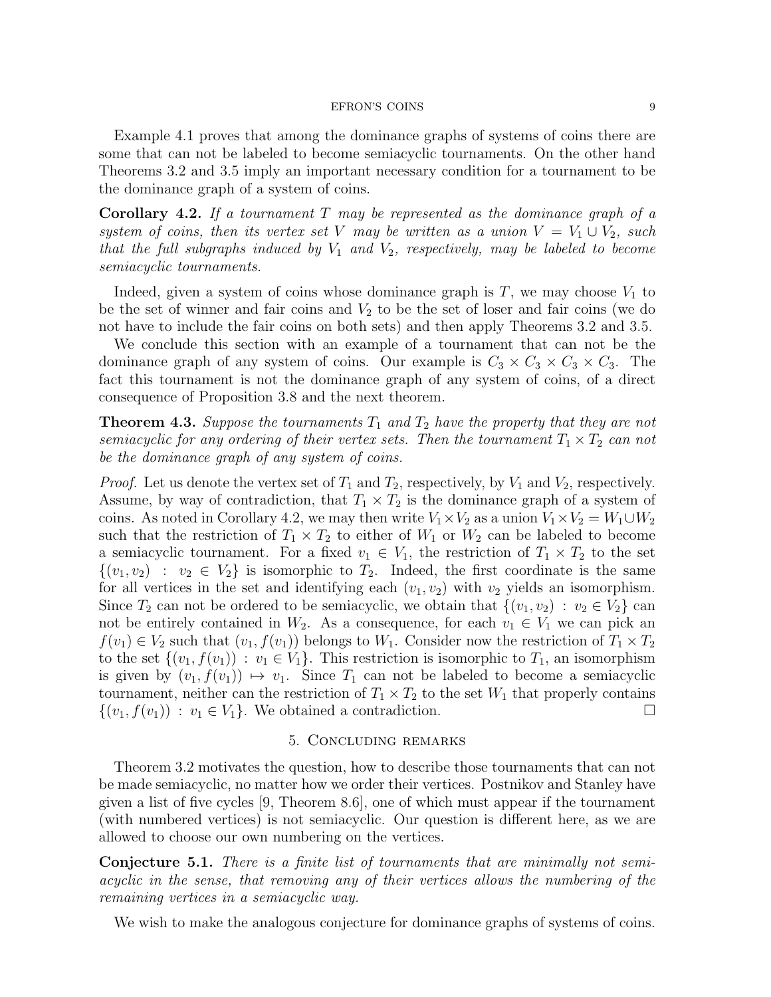Example 4.1 proves that among the dominance graphs of systems of coins there are some that can not be labeled to become semiacyclic tournaments. On the other hand Theorems 3.2 and 3.5 imply an important necessary condition for a tournament to be the dominance graph of a system of coins.

**Corollary 4.2.** If a tournament T may be represented as the dominance graph of a system of coins, then its vertex set V may be written as a union  $V = V_1 \cup V_2$ , such that the full subgraphs induced by  $V_1$  and  $V_2$ , respectively, may be labeled to become semiacyclic tournaments.

Indeed, given a system of coins whose dominance graph is  $T$ , we may choose  $V_1$  to be the set of winner and fair coins and  $V_2$  to be the set of loser and fair coins (we do not have to include the fair coins on both sets) and then apply Theorems 3.2 and 3.5.

We conclude this section with an example of a tournament that can not be the dominance graph of any system of coins. Our example is  $C_3 \times C_3 \times C_3 \times C_3$ . The fact this tournament is not the dominance graph of any system of coins, of a direct consequence of Proposition 3.8 and the next theorem.

**Theorem 4.3.** Suppose the tournaments  $T_1$  and  $T_2$  have the property that they are not semiacyclic for any ordering of their vertex sets. Then the tournament  $T_1 \times T_2$  can not be the dominance graph of any system of coins.

*Proof.* Let us denote the vertex set of  $T_1$  and  $T_2$ , respectively, by  $V_1$  and  $V_2$ , respectively. Assume, by way of contradiction, that  $T_1 \times T_2$  is the dominance graph of a system of coins. As noted in Corollary 4.2, we may then write  $V_1 \times V_2$  as a union  $V_1 \times V_2 = W_1 \cup W_2$ such that the restriction of  $T_1 \times T_2$  to either of  $W_1$  or  $W_2$  can be labeled to become a semiacyclic tournament. For a fixed  $v_1 \in V_1$ , the restriction of  $T_1 \times T_2$  to the set  $\{(v_1, v_2) : v_2 \in V_2\}$  is isomorphic to  $T_2$ . Indeed, the first coordinate is the same for all vertices in the set and identifying each  $(v_1, v_2)$  with  $v_2$  yields an isomorphism. Since  $T_2$  can not be ordered to be semiacyclic, we obtain that  $\{(v_1, v_2) : v_2 \in V_2\}$  can not be entirely contained in  $W_2$ . As a consequence, for each  $v_1 \in V_1$  we can pick an  $f(v_1) \in V_2$  such that  $(v_1, f(v_1))$  belongs to  $W_1$ . Consider now the restriction of  $T_1 \times T_2$ to the set  $\{(v_1, f(v_1)) : v_1 \in V_1\}$ . This restriction is isomorphic to  $T_1$ , an isomorphism is given by  $(v_1, f(v_1)) \mapsto v_1$ . Since  $T_1$  can not be labeled to become a semiacyclic tournament, neither can the restriction of  $T_1 \times T_2$  to the set  $W_1$  that properly contains  $\{(v_1, f(v_1)) : v_1 \in V_1\}$ . We obtained a contradiction.

# 5. Concluding remarks

Theorem 3.2 motivates the question, how to describe those tournaments that can not be made semiacyclic, no matter how we order their vertices. Postnikov and Stanley have given a list of five cycles [9, Theorem 8.6], one of which must appear if the tournament (with numbered vertices) is not semiacyclic. Our question is different here, as we are allowed to choose our own numbering on the vertices.

Conjecture 5.1. There is a finite list of tournaments that are minimally not semiacyclic in the sense, that removing any of their vertices allows the numbering of the remaining vertices in a semiacyclic way.

We wish to make the analogous conjecture for dominance graphs of systems of coins.